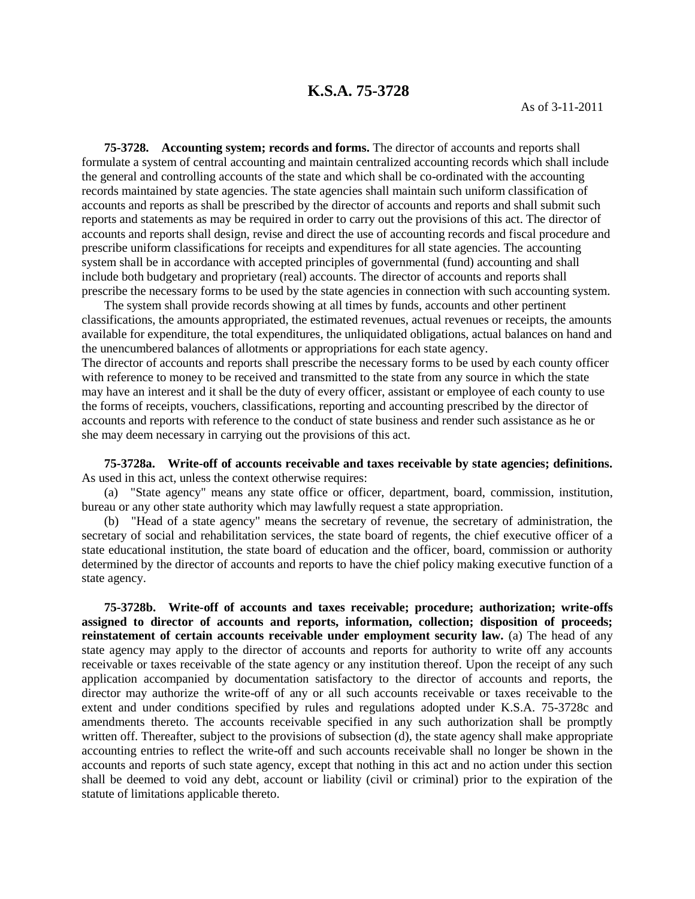## **K.S.A. 75-3728**

**75-3728. Accounting system; records and forms.** The director of accounts and reports shall formulate a system of central accounting and maintain centralized accounting records which shall include the general and controlling accounts of the state and which shall be co-ordinated with the accounting records maintained by state agencies. The state agencies shall maintain such uniform classification of accounts and reports as shall be prescribed by the director of accounts and reports and shall submit such reports and statements as may be required in order to carry out the provisions of this act. The director of accounts and reports shall design, revise and direct the use of accounting records and fiscal procedure and prescribe uniform classifications for receipts and expenditures for all state agencies. The accounting system shall be in accordance with accepted principles of governmental (fund) accounting and shall include both budgetary and proprietary (real) accounts. The director of accounts and reports shall prescribe the necessary forms to be used by the state agencies in connection with such accounting system.

The system shall provide records showing at all times by funds, accounts and other pertinent classifications, the amounts appropriated, the estimated revenues, actual revenues or receipts, the amounts available for expenditure, the total expenditures, the unliquidated obligations, actual balances on hand and the unencumbered balances of allotments or appropriations for each state agency.

The director of accounts and reports shall prescribe the necessary forms to be used by each county officer with reference to money to be received and transmitted to the state from any source in which the state may have an interest and it shall be the duty of every officer, assistant or employee of each county to use the forms of receipts, vouchers, classifications, reporting and accounting prescribed by the director of accounts and reports with reference to the conduct of state business and render such assistance as he or she may deem necessary in carrying out the provisions of this act.

**75-3728a. Write-off of accounts receivable and taxes receivable by state agencies; definitions.** As used in this act, unless the context otherwise requires:

(a) "State agency" means any state office or officer, department, board, commission, institution, bureau or any other state authority which may lawfully request a state appropriation.

(b) "Head of a state agency" means the secretary of revenue, the secretary of administration, the secretary of social and rehabilitation services, the state board of regents, the chief executive officer of a state educational institution, the state board of education and the officer, board, commission or authority determined by the director of accounts and reports to have the chief policy making executive function of a state agency.

**75-3728b. Write-off of accounts and taxes receivable; procedure; authorization; write-offs assigned to director of accounts and reports, information, collection; disposition of proceeds; reinstatement of certain accounts receivable under employment security law.** (a) The head of any state agency may apply to the director of accounts and reports for authority to write off any accounts receivable or taxes receivable of the state agency or any institution thereof. Upon the receipt of any such application accompanied by documentation satisfactory to the director of accounts and reports, the director may authorize the write-off of any or all such accounts receivable or taxes receivable to the extent and under conditions specified by rules and regulations adopted under K.S.A. 75-3728c and amendments thereto. The accounts receivable specified in any such authorization shall be promptly written off. Thereafter, subject to the provisions of subsection (d), the state agency shall make appropriate accounting entries to reflect the write-off and such accounts receivable shall no longer be shown in the accounts and reports of such state agency, except that nothing in this act and no action under this section shall be deemed to void any debt, account or liability (civil or criminal) prior to the expiration of the statute of limitations applicable thereto.